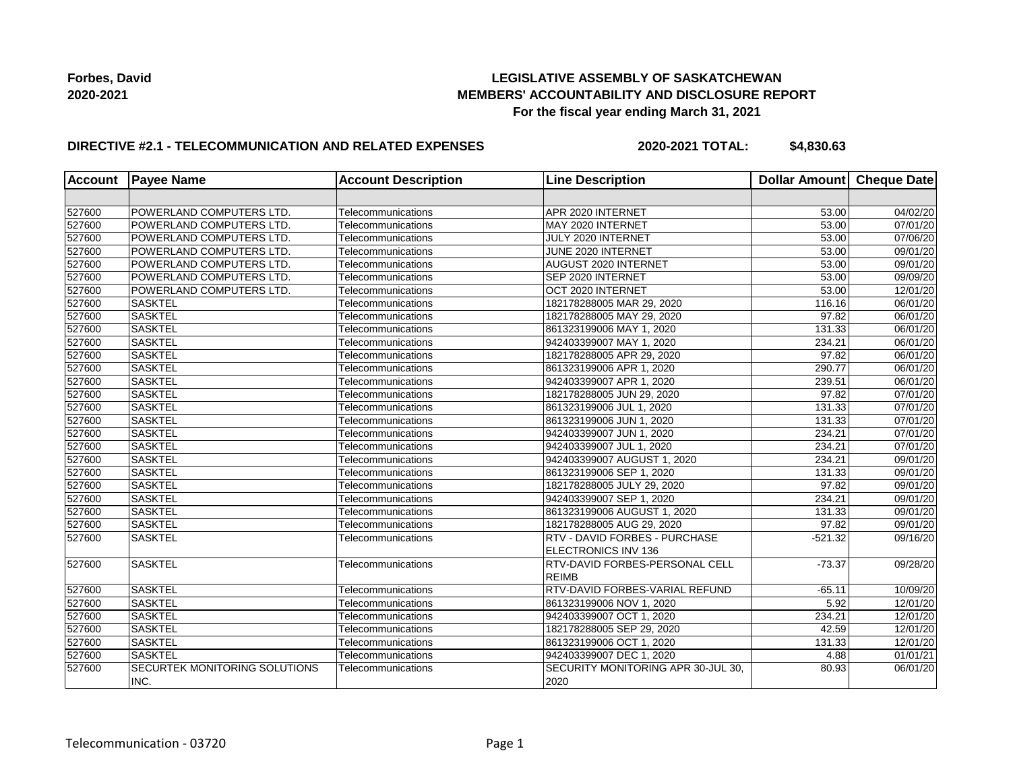## **LEGISLATIVE ASSEMBLY OF SASKATCHEWAN MEMBERS' ACCOUNTABILITY AND DISCLOSURE REPORT For the fiscal year ending March 31, 2021**

## **DIRECTIVE #2.1 - TELECOMMUNICATION AND RELATED EXPENSES**

**2020-2021 TOTAL: \$4,830.63**

| <b>Account</b> | <b>Payee Name</b>                     | <b>Account Description</b> | <b>Line Description</b>                    | Dollar Amount Cheque Date |          |
|----------------|---------------------------------------|----------------------------|--------------------------------------------|---------------------------|----------|
|                |                                       |                            |                                            |                           |          |
| 527600         | POWERLAND COMPUTERS LTD.              | Telecommunications         | APR 2020 INTERNET                          | 53.00                     | 04/02/20 |
| 527600         | POWERLAND COMPUTERS LTD.              | Telecommunications         | MAY 2020 INTERNET                          | 53.00                     | 07/01/20 |
| 527600         | POWERLAND COMPUTERS LTD.              | Telecommunications         | JULY 2020 INTERNET                         | 53.00                     | 07/06/20 |
| 527600         | POWERLAND COMPUTERS LTD.              | Telecommunications         | JUNE 2020 INTERNET                         | 53.00                     | 09/01/20 |
| 527600         | POWERLAND COMPUTERS LTD.              | Telecommunications         | AUGUST 2020 INTERNET                       | 53.00                     | 09/01/20 |
| 527600         | POWERLAND COMPUTERS LTD.              | Telecommunications         | SEP 2020 INTERNET                          | 53.00                     | 09/09/20 |
| 527600         | POWERLAND COMPUTERS LTD.              | Telecommunications         | OCT 2020 INTERNET                          | 53.00                     | 12/01/20 |
| 527600         | <b>SASKTEL</b>                        | Telecommunications         | 182178288005 MAR 29, 2020                  | 116.16                    | 06/01/20 |
| 527600         | <b>SASKTEL</b>                        | Telecommunications         | 182178288005 MAY 29, 2020                  | 97.82                     | 06/01/20 |
| 527600         | <b>SASKTEL</b>                        | Telecommunications         | 861323199006 MAY 1, 2020                   | 131.33                    | 06/01/20 |
| 527600         | <b>SASKTEL</b>                        | Telecommunications         | 942403399007 MAY 1, 2020                   | 234.21                    | 06/01/20 |
| 527600         | <b>SASKTEL</b>                        | Telecommunications         | 182178288005 APR 29, 2020                  | 97.82                     | 06/01/20 |
| 527600         | <b>SASKTEL</b>                        | Telecommunications         | 861323199006 APR 1, 2020                   | 290.77                    | 06/01/20 |
| 527600         | <b>SASKTEL</b>                        | Telecommunications         | 942403399007 APR 1, 2020                   | 239.51                    | 06/01/20 |
| 527600         | <b>SASKTEL</b>                        | Telecommunications         | 182178288005 JUN 29, 2020                  | 97.82                     | 07/01/20 |
| 527600         | <b>SASKTEL</b>                        | Telecommunications         | 861323199006 JUL 1, 2020                   | 131.33                    | 07/01/20 |
| 527600         | <b>SASKTEL</b>                        | Telecommunications         | 861323199006 JUN 1, 2020                   | 131.33                    | 07/01/20 |
| 527600         | <b>SASKTEL</b>                        | Telecommunications         | 942403399007 JUN 1, 2020                   | 234.21                    | 07/01/20 |
| 527600         | <b>SASKTEL</b>                        | Telecommunications         | 942403399007 JUL 1, 2020                   | 234.21                    | 07/01/20 |
| 527600         | <b>SASKTEL</b>                        | Telecommunications         | 942403399007 AUGUST 1, 2020                | 234.21                    | 09/01/20 |
| 527600         | <b>SASKTEL</b>                        | Telecommunications         | 861323199006 SEP 1, 2020                   | 131.33                    | 09/01/20 |
| 527600         | <b>SASKTEL</b>                        | Telecommunications         | 182178288005 JULY 29, 2020                 | 97.82                     | 09/01/20 |
| 527600         | <b>SASKTEL</b>                        | Telecommunications         | 942403399007 SEP 1, 2020                   | 234.21                    | 09/01/20 |
| 527600         | <b>SASKTEL</b>                        | Telecommunications         | 861323199006 AUGUST 1, 2020                | 131.33                    | 09/01/20 |
| 527600         | <b>SASKTEL</b>                        | Telecommunications         | 182178288005 AUG 29, 2020                  | 97.82                     | 09/01/20 |
| 527600         | <b>SASKTEL</b>                        | Telecommunications         | RTV - DAVID FORBES - PURCHASE              | $-521.32$                 | 09/16/20 |
|                |                                       |                            | ELECTRONICS INV 136                        |                           |          |
| 527600         | <b>SASKTEL</b>                        | Telecommunications         | RTV-DAVID FORBES-PERSONAL CELL             | $-73.37$                  | 09/28/20 |
|                |                                       |                            | <b>REIMB</b>                               |                           |          |
| 527600         | <b>SASKTEL</b>                        | Telecommunications         | RTV-DAVID FORBES-VARIAL REFUND             | $-65.11$                  | 10/09/20 |
| 527600         | <b>SASKTEL</b>                        | Telecommunications         | 861323199006 NOV 1, 2020                   | 5.92                      | 12/01/20 |
| 527600         | <b>SASKTEL</b>                        | Telecommunications         | 942403399007 OCT 1, 2020                   | 234.21                    | 12/01/20 |
| 527600         | <b>SASKTEL</b>                        | Telecommunications         | 182178288005 SEP 29, 2020                  | 42.59                     | 12/01/20 |
| 527600         | <b>SASKTEL</b>                        | Telecommunications         | 861323199006 OCT 1, 2020                   | 131.33                    | 12/01/20 |
| 527600         | <b>SASKTEL</b>                        | Telecommunications         | 942403399007 DEC 1, 2020                   | 4.88                      | 01/01/21 |
| 527600         | SECURTEK MONITORING SOLUTIONS<br>INC. | Telecommunications         | SECURITY MONITORING APR 30-JUL 30,<br>2020 | 80.93                     | 06/01/20 |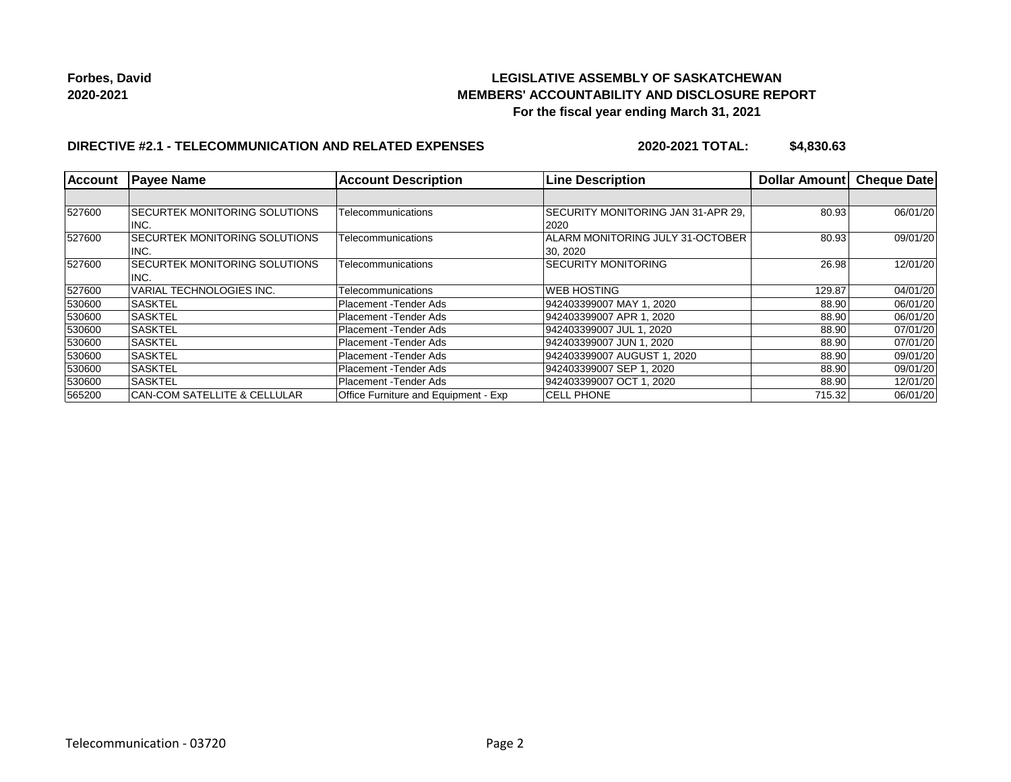## **LEGISLATIVE ASSEMBLY OF SASKATCHEWAN MEMBERS' ACCOUNTABILITY AND DISCLOSURE REPORT For the fiscal year ending March 31, 2021**

## **DIRECTIVE #2.1 - TELECOMMUNICATION AND RELATED EXPENSES**

**2020-2021 TOTAL: \$4,830.63**

| <b>Account</b> | <b>Payee Name</b>                       | <b>Account Description</b>           | <b>Line Description</b>                   | Dollar Amount | <b>Cheque Datel</b> |
|----------------|-----------------------------------------|--------------------------------------|-------------------------------------------|---------------|---------------------|
|                |                                         |                                      |                                           |               |                     |
| 527600         | <b>ISECURTEK MONITORING SOLUTIONS</b>   | Telecommunications                   | <b>SECURITY MONITORING JAN 31-APR 29.</b> | 80.93         | 06/01/20            |
|                | INC.                                    |                                      | 2020                                      |               |                     |
| 527600         | SECURTEK MONITORING SOLUTIONS           | Telecommunications                   | ALARM MONITORING JULY 31-OCTOBER          | 80.93         | 09/01/20            |
|                | INC.                                    |                                      | 30, 2020                                  |               |                     |
| 527600         | SECURTEK MONITORING SOLUTIONS           | Telecommunications                   | <b>SECURITY MONITORING</b>                | 26.98         | 12/01/20            |
|                | INC.                                    |                                      |                                           |               |                     |
| 527600         | VARIAL TECHNOLOGIES INC.                | Telecommunications                   | <b>WEB HOSTING</b>                        | 129.87        | 04/01/20            |
| 530600         | <b>SASKTEL</b>                          | Placement - Tender Ads               | 942403399007 MAY 1, 2020                  | 88.90         | 06/01/20            |
| 530600         | <b>SASKTEL</b>                          | Placement - Tender Ads               | 942403399007 APR 1, 2020                  | 88.90         | 06/01/20            |
| 530600         | <b>ISASKTEL</b>                         | Placement - Tender Ads               | 942403399007 JUL 1, 2020                  | 88.90         | 07/01/20            |
| 530600         | <b>SASKTEL</b>                          | Placement - Tender Ads               | 942403399007 JUN 1, 2020                  | 88.90         | 07/01/20            |
| 530600         | <b>SASKTEL</b>                          | Placement - Tender Ads               | 942403399007 AUGUST 1, 2020               | 88.90         | 09/01/20            |
| 530600         | <b>SASKTEL</b>                          | Placement - Tender Ads               | 942403399007 SEP 1, 2020                  | 88.90         | 09/01/20            |
| 530600         | <b>SASKTEL</b>                          | Placement - Tender Ads               | 942403399007 OCT 1, 2020                  | 88.90         | 12/01/20            |
| 565200         | <b>CAN-COM SATELLITE &amp; CELLULAR</b> | Office Furniture and Equipment - Exp | <b>CELL PHONE</b>                         | 715.32        | 06/01/20            |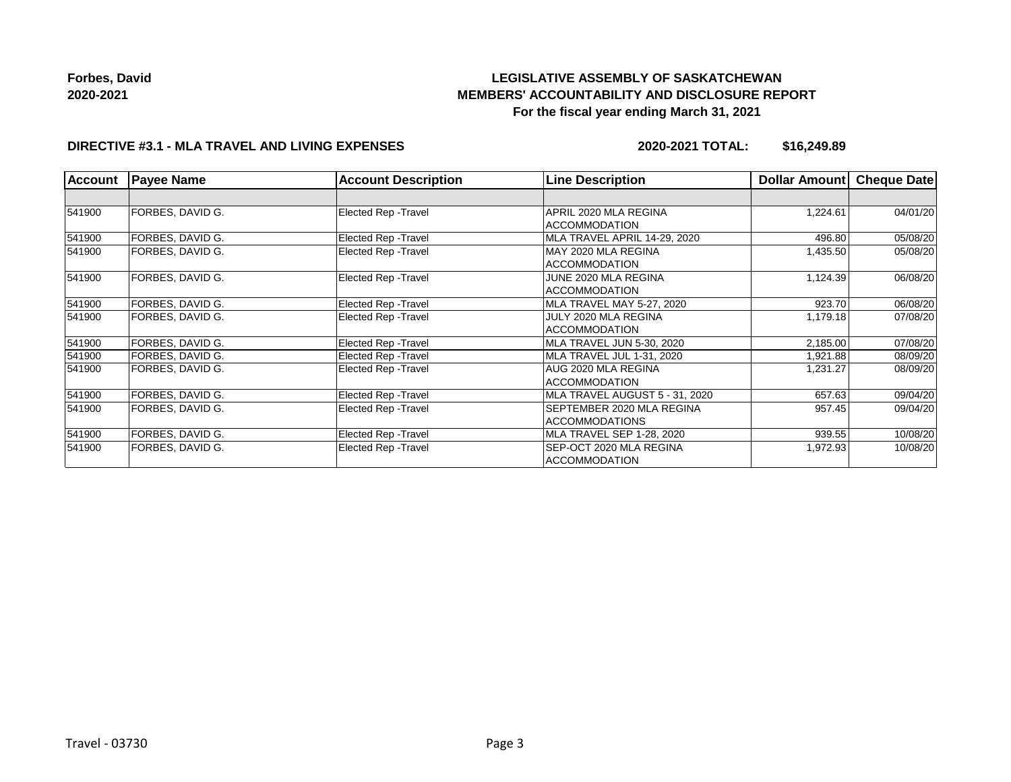# **LEGISLATIVE ASSEMBLY OF SASKATCHEWAN MEMBERS' ACCOUNTABILITY AND DISCLOSURE REPORT For the fiscal year ending March 31, 2021**

### **DIRECTIVE #3.1 - MLA TRAVEL AND LIVING EXPENSES**

**2020-2021 TOTAL: \$16,249.89**

| <b>Account</b> | <b>Payee Name</b> | <b>Account Description</b>  | <b>Line Description</b>        | <b>Dollar Amountl</b> | <b>Cheque Date</b> |
|----------------|-------------------|-----------------------------|--------------------------------|-----------------------|--------------------|
|                |                   |                             |                                |                       |                    |
| 541900         | FORBES, DAVID G.  | Elected Rep - Travel        | APRIL 2020 MLA REGINA          | 1,224.61              | 04/01/20           |
|                |                   |                             | <b>ACCOMMODATION</b>           |                       |                    |
| 541900         | FORBES, DAVID G.  | Elected Rep - Travel        | MLA TRAVEL APRIL 14-29, 2020   | 496.80                | 05/08/20           |
| 541900         | FORBES, DAVID G.  | Elected Rep - Travel        | MAY 2020 MLA REGINA            | 1,435.50              | 05/08/20           |
|                |                   |                             | <b>ACCOMMODATION</b>           |                       |                    |
| 541900         | FORBES, DAVID G.  | Elected Rep - Travel        | JUNE 2020 MLA REGINA           | 1,124.39              | 06/08/20           |
|                |                   |                             | <b>ACCOMMODATION</b>           |                       |                    |
| 541900         | FORBES, DAVID G.  | <b>Elected Rep - Travel</b> | MLA TRAVEL MAY 5-27, 2020      | 923.70                | 06/08/20           |
| 541900         | FORBES, DAVID G.  | Elected Rep - Travel        | JULY 2020 MLA REGINA           | 1,179.18              | 07/08/20           |
|                |                   |                             | <b>ACCOMMODATION</b>           |                       |                    |
| 541900         | FORBES, DAVID G.  | Elected Rep - Travel        | MLA TRAVEL JUN 5-30, 2020      | 2,185.00              | 07/08/20           |
| 541900         | FORBES, DAVID G.  | Elected Rep - Travel        | MLA TRAVEL JUL 1-31, 2020      | 1,921.88              | 08/09/20           |
| 541900         | FORBES, DAVID G.  | Elected Rep - Travel        | AUG 2020 MLA REGINA            | 1,231.27              | 08/09/20           |
|                |                   |                             | <b>ACCOMMODATION</b>           |                       |                    |
| 541900         | FORBES, DAVID G.  | Elected Rep - Travel        | MLA TRAVEL AUGUST 5 - 31, 2020 | 657.63                | 09/04/20           |
| 541900         | FORBES, DAVID G.  | Elected Rep - Travel        | SEPTEMBER 2020 MLA REGINA      | 957.45                | 09/04/20           |
|                |                   |                             | <b>ACCOMMODATIONS</b>          |                       |                    |
| 541900         | FORBES, DAVID G.  | Elected Rep - Travel        | MLA TRAVEL SEP 1-28, 2020      | 939.55                | 10/08/20           |
| 541900         | FORBES, DAVID G.  | <b>Elected Rep - Travel</b> | SEP-OCT 2020 MLA REGINA        | 1,972.93              | 10/08/20           |
|                |                   |                             | <b>ACCOMMODATION</b>           |                       |                    |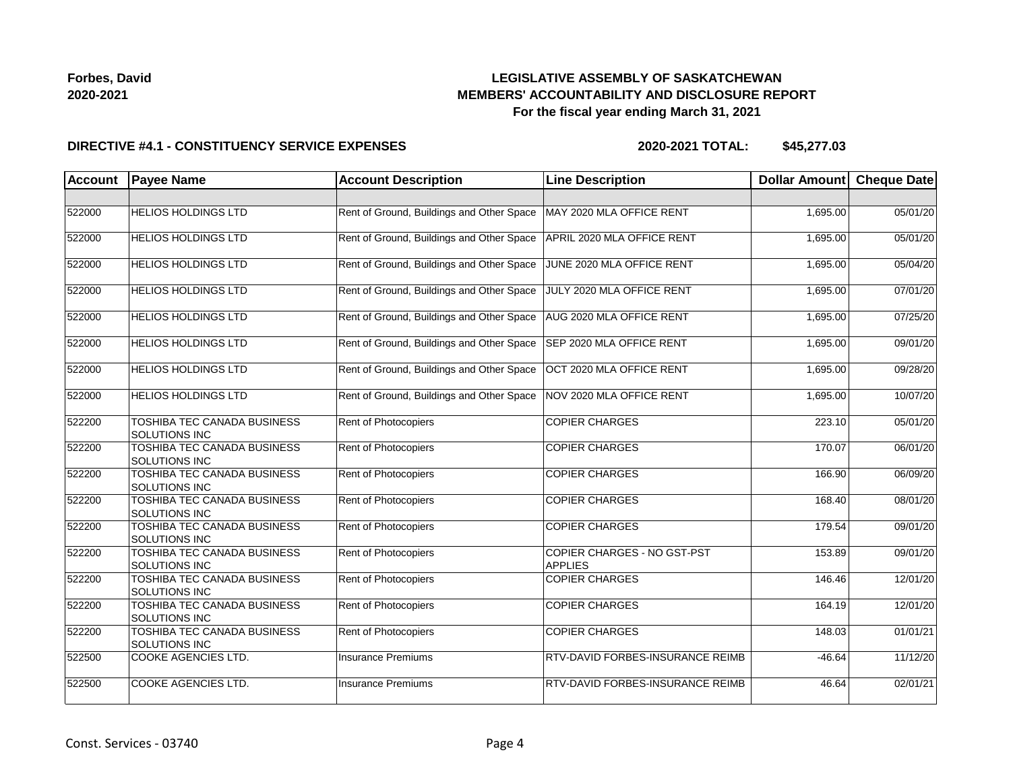## **LEGISLATIVE ASSEMBLY OF SASKATCHEWAN MEMBERS' ACCOUNTABILITY AND DISCLOSURE REPORT For the fiscal year ending March 31, 2021**

### **DIRECTIVE #4.1 - CONSTITUENCY SERVICE EXPENSES**

**2020-2021 TOTAL: \$45,277.03**

| <b>Account</b> | <b>Payee Name</b>                                          | <b>Account Description</b>                | <b>Line Description</b>                              | Dollar Amount | <b>Cheque Date</b> |
|----------------|------------------------------------------------------------|-------------------------------------------|------------------------------------------------------|---------------|--------------------|
|                |                                                            |                                           |                                                      |               |                    |
| 522000         | <b>HELIOS HOLDINGS LTD</b>                                 | Rent of Ground, Buildings and Other Space | MAY 2020 MLA OFFICE RENT                             | 1,695.00      | 05/01/20           |
| 522000         | <b>HELIOS HOLDINGS LTD</b>                                 | Rent of Ground, Buildings and Other Space | APRIL 2020 MLA OFFICE RENT                           | 1,695.00      | 05/01/20           |
| 522000         | <b>HELIOS HOLDINGS LTD</b>                                 | Rent of Ground, Buildings and Other Space | JUNE 2020 MLA OFFICE RENT                            | 1,695.00      | 05/04/20           |
| 522000         | <b>HELIOS HOLDINGS LTD</b>                                 | Rent of Ground, Buildings and Other Space | JULY 2020 MLA OFFICE RENT                            | 1,695.00      | 07/01/20           |
| 522000         | <b>HELIOS HOLDINGS LTD</b>                                 | Rent of Ground, Buildings and Other Space | AUG 2020 MLA OFFICE RENT                             | 1,695.00      | 07/25/20           |
| 522000         | <b>HELIOS HOLDINGS LTD</b>                                 | Rent of Ground, Buildings and Other Space | SEP 2020 MLA OFFICE RENT                             | 1,695.00      | 09/01/20           |
| 522000         | <b>HELIOS HOLDINGS LTD</b>                                 | Rent of Ground, Buildings and Other Space | OCT 2020 MLA OFFICE RENT                             | 1,695.00      | 09/28/20           |
| 522000         | <b>HELIOS HOLDINGS LTD</b>                                 | Rent of Ground, Buildings and Other Space | NOV 2020 MLA OFFICE RENT                             | 1,695.00      | 10/07/20           |
| 522200         | TOSHIBA TEC CANADA BUSINESS<br>SOLUTIONS INC               | Rent of Photocopiers                      | <b>COPIER CHARGES</b>                                | 223.10        | 05/01/20           |
| 522200         | <b>TOSHIBA TEC CANADA BUSINESS</b><br><b>SOLUTIONS INC</b> | Rent of Photocopiers                      | <b>COPIER CHARGES</b>                                | 170.07        | 06/01/20           |
| 522200         | TOSHIBA TEC CANADA BUSINESS<br><b>SOLUTIONS INC</b>        | <b>Rent of Photocopiers</b>               | <b>COPIER CHARGES</b>                                | 166.90        | 06/09/20           |
| 522200         | <b>TOSHIBA TEC CANADA BUSINESS</b><br><b>SOLUTIONS INC</b> | <b>Rent of Photocopiers</b>               | <b>COPIER CHARGES</b>                                | 168.40        | 08/01/20           |
| 522200         | TOSHIBA TEC CANADA BUSINESS<br>SOLUTIONS INC               | <b>Rent of Photocopiers</b>               | <b>COPIER CHARGES</b>                                | 179.54        | 09/01/20           |
| 522200         | <b>TOSHIBA TEC CANADA BUSINESS</b><br>SOLUTIONS INC        | Rent of Photocopiers                      | <b>COPIER CHARGES - NO GST-PST</b><br><b>APPLIES</b> | 153.89        | 09/01/20           |
| 522200         | TOSHIBA TEC CANADA BUSINESS<br>SOLUTIONS INC               | Rent of Photocopiers                      | <b>COPIER CHARGES</b>                                | 146.46        | 12/01/20           |
| 522200         | TOSHIBA TEC CANADA BUSINESS<br><b>SOLUTIONS INC</b>        | Rent of Photocopiers                      | <b>COPIER CHARGES</b>                                | 164.19        | 12/01/20           |
| 522200         | TOSHIBA TEC CANADA BUSINESS<br><b>SOLUTIONS INC</b>        | <b>Rent of Photocopiers</b>               | <b>COPIER CHARGES</b>                                | 148.03        | 01/01/21           |
| 522500         | COOKE AGENCIES LTD.                                        | <b>Insurance Premiums</b>                 | RTV-DAVID FORBES-INSURANCE REIMB                     | $-46.64$      | 11/12/20           |
| 522500         | COOKE AGENCIES LTD.                                        | <b>Insurance Premiums</b>                 | RTV-DAVID FORBES-INSURANCE REIMB                     | 46.64         | 02/01/21           |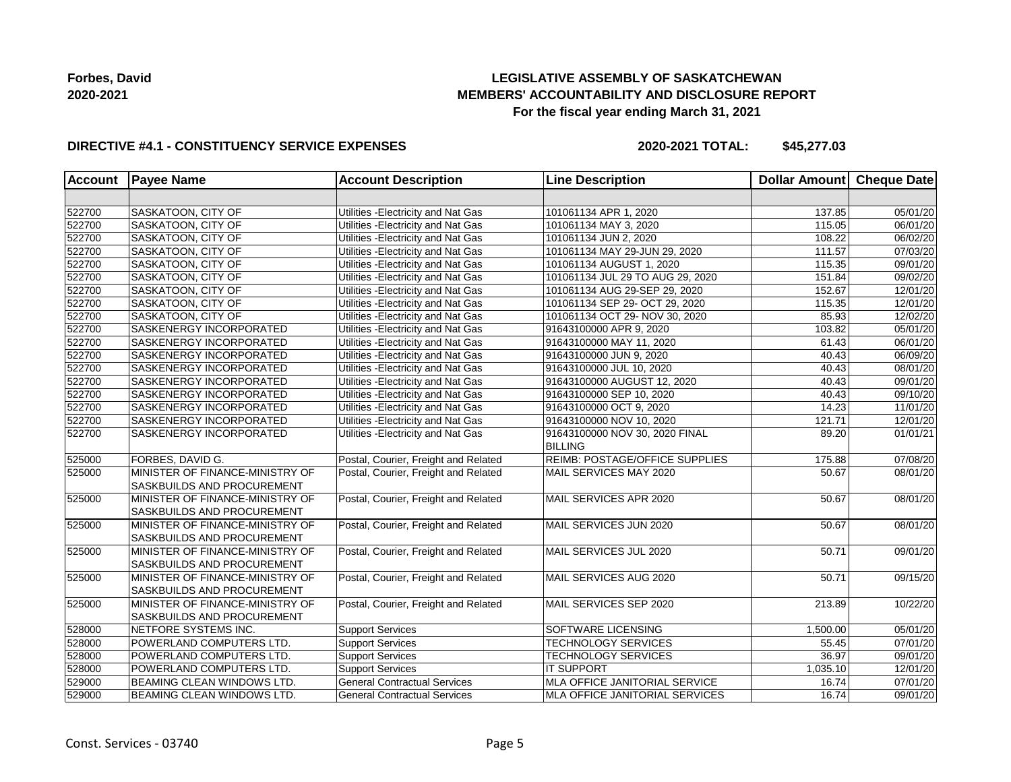## **LEGISLATIVE ASSEMBLY OF SASKATCHEWAN MEMBERS' ACCOUNTABILITY AND DISCLOSURE REPORT For the fiscal year ending March 31, 2021**

### **DIRECTIVE #4.1 - CONSTITUENCY SERVICE EXPENSES**

**2020-2021 TOTAL: \$45,277.03**

| <b>Account</b> | <b>Payee Name</b>                                             | <b>Account Description</b>           | <b>Line Description</b>                          | Dollar Amount Cheque Date |          |
|----------------|---------------------------------------------------------------|--------------------------------------|--------------------------------------------------|---------------------------|----------|
|                |                                                               |                                      |                                                  |                           |          |
| 522700         | SASKATOON, CITY OF                                            | Utilities - Electricity and Nat Gas  | 101061134 APR 1, 2020                            | 137.85                    | 05/01/20 |
| 522700         | SASKATOON, CITY OF                                            | Utilities - Electricity and Nat Gas  | 101061134 MAY 3, 2020                            | 115.05                    | 06/01/20 |
| 522700         | SASKATOON, CITY OF                                            | Utilities - Electricity and Nat Gas  | 101061134 JUN 2, 2020                            | 108.22                    | 06/02/20 |
| 522700         | SASKATOON, CITY OF                                            | Utilities - Electricity and Nat Gas  | 101061134 MAY 29-JUN 29, 2020                    | 111.57                    | 07/03/20 |
| 522700         | SASKATOON, CITY OF                                            | Utilities - Electricity and Nat Gas  | 101061134 AUGUST 1, 2020                         | 115.35                    | 09/01/20 |
| 522700         | SASKATOON, CITY OF                                            | Utilities - Electricity and Nat Gas  | 101061134 JUL 29 TO AUG 29, 2020                 | 151.84                    | 09/02/20 |
| 522700         | SASKATOON, CITY OF                                            | Utilities - Electricity and Nat Gas  | 101061134 AUG 29-SEP 29, 2020                    | 152.67                    | 12/01/20 |
| 522700         | SASKATOON, CITY OF                                            | Utilities - Electricity and Nat Gas  | 101061134 SEP 29- OCT 29, 2020                   | 115.35                    | 12/01/20 |
| 522700         | SASKATOON, CITY OF                                            | Utilities - Electricity and Nat Gas  | 101061134 OCT 29- NOV 30, 2020                   | 85.93                     | 12/02/20 |
| 522700         | SASKENERGY INCORPORATED                                       | Utilities - Electricity and Nat Gas  | 91643100000 APR 9, 2020                          | 103.82                    | 05/01/20 |
| 522700         | SASKENERGY INCORPORATED                                       | Utilities - Electricity and Nat Gas  | 91643100000 MAY 11, 2020                         | 61.43                     | 06/01/20 |
| 522700         | SASKENERGY INCORPORATED                                       | Utilities - Electricity and Nat Gas  | 91643100000 JUN 9, 2020                          | 40.43                     | 06/09/20 |
| 522700         | SASKENERGY INCORPORATED                                       | Utilities - Electricity and Nat Gas  | 91643100000 JUL 10, 2020                         | 40.43                     | 08/01/20 |
| 522700         | SASKENERGY INCORPORATED                                       | Utilities - Electricity and Nat Gas  | 91643100000 AUGUST 12, 2020                      | 40.43                     | 09/01/20 |
| 522700         | SASKENERGY INCORPORATED                                       | Utilities - Electricity and Nat Gas  | 91643100000 SEP 10, 2020                         | 40.43                     | 09/10/20 |
| 522700         | SASKENERGY INCORPORATED                                       | Utilities - Electricity and Nat Gas  | 91643100000 OCT 9, 2020                          | 14.23                     | 11/01/20 |
| 522700         | SASKENERGY INCORPORATED                                       | Utilities - Electricity and Nat Gas  | 91643100000 NOV 10, 2020                         | 121.71                    | 12/01/20 |
| 522700         | SASKENERGY INCORPORATED                                       | Utilities - Electricity and Nat Gas  | 91643100000 NOV 30, 2020 FINAL<br><b>BILLING</b> | 89.20                     | 01/01/21 |
| 525000         | FORBES, DAVID G.                                              | Postal, Courier, Freight and Related | REIMB: POSTAGE/OFFICE SUPPLIES                   | 175.88                    | 07/08/20 |
| 525000         | MINISTER OF FINANCE-MINISTRY OF<br>SASKBUILDS AND PROCUREMENT | Postal, Courier, Freight and Related | MAIL SERVICES MAY 2020                           | 50.67                     | 08/01/20 |
| 525000         | MINISTER OF FINANCE-MINISTRY OF<br>SASKBUILDS AND PROCUREMENT | Postal, Courier, Freight and Related | MAIL SERVICES APR 2020                           | 50.67                     | 08/01/20 |
| 525000         | MINISTER OF FINANCE-MINISTRY OF<br>SASKBUILDS AND PROCUREMENT | Postal, Courier, Freight and Related | MAIL SERVICES JUN 2020                           | 50.67                     | 08/01/20 |
| 525000         | MINISTER OF FINANCE-MINISTRY OF<br>SASKBUILDS AND PROCUREMENT | Postal, Courier, Freight and Related | MAIL SERVICES JUL 2020                           | 50.71                     | 09/01/20 |
| 525000         | MINISTER OF FINANCE-MINISTRY OF<br>SASKBUILDS AND PROCUREMENT | Postal, Courier, Freight and Related | MAIL SERVICES AUG 2020                           | 50.71                     | 09/15/20 |
| 525000         | MINISTER OF FINANCE-MINISTRY OF<br>SASKBUILDS AND PROCUREMENT | Postal, Courier, Freight and Related | MAIL SERVICES SEP 2020                           | 213.89                    | 10/22/20 |
| 528000         | NETFORE SYSTEMS INC.                                          | <b>Support Services</b>              | <b>SOFTWARE LICENSING</b>                        | 1,500.00                  | 05/01/20 |
| 528000         | POWERLAND COMPUTERS LTD.                                      | <b>Support Services</b>              | <b>TECHNOLOGY SERVICES</b>                       | 55.45                     | 07/01/20 |
| 528000         | POWERLAND COMPUTERS LTD.                                      | <b>Support Services</b>              | <b>TECHNOLOGY SERVICES</b>                       | 36.97                     | 09/01/20 |
| 528000         | POWERLAND COMPUTERS LTD.                                      | <b>Support Services</b>              | <b>IT SUPPORT</b>                                | 1,035.10                  | 12/01/20 |
| 529000         | BEAMING CLEAN WINDOWS LTD.                                    | <b>General Contractual Services</b>  | MLA OFFICE JANITORIAL SERVICE                    | 16.74                     | 07/01/20 |
| 529000         | BEAMING CLEAN WINDOWS LTD.                                    | <b>General Contractual Services</b>  | MLA OFFICE JANITORIAL SERVICES                   | 16.74                     | 09/01/20 |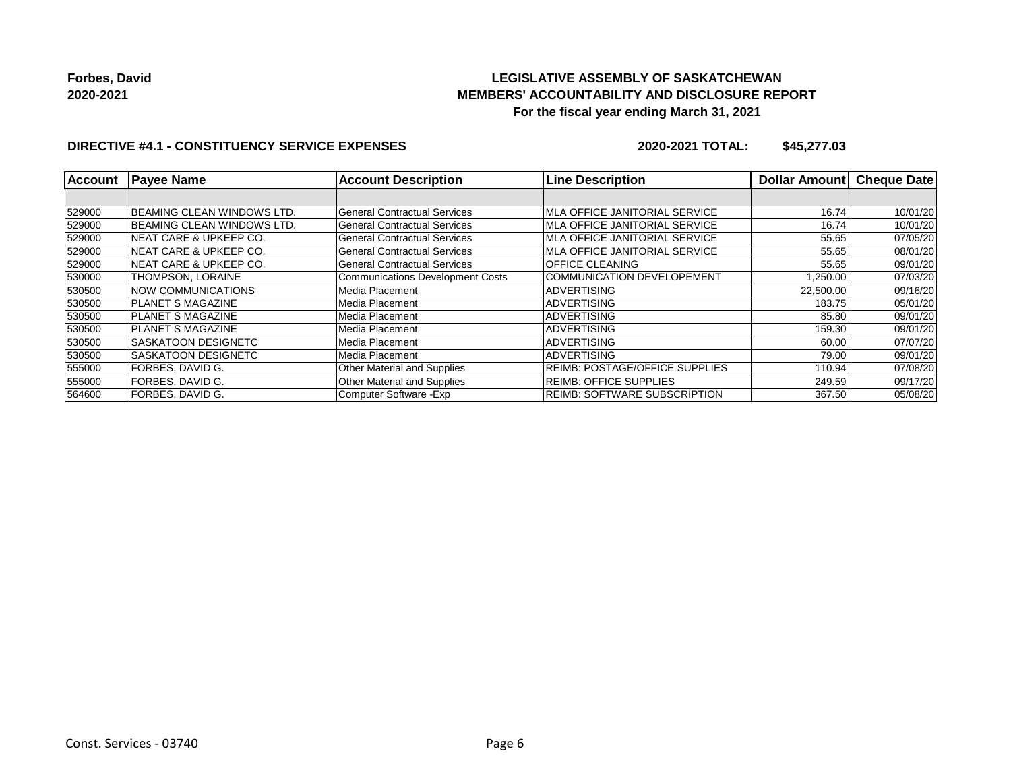## **LEGISLATIVE ASSEMBLY OF SASKATCHEWAN MEMBERS' ACCOUNTABILITY AND DISCLOSURE REPORT For the fiscal year ending March 31, 2021**

### **DIRECTIVE #4.1 - CONSTITUENCY SERVICE EXPENSES**

**2020-2021 TOTAL: \$45,277.03**

| <b>Account</b> | <b>Payee Name</b>                  | <b>Account Description</b>              | <b>Line Description</b>               | <b>Dollar Amount</b> | <b>Cheque Date</b> |
|----------------|------------------------------------|-----------------------------------------|---------------------------------------|----------------------|--------------------|
|                |                                    |                                         |                                       |                      |                    |
| 529000         | <b>BEAMING CLEAN WINDOWS LTD.</b>  | General Contractual Services            | MLA OFFICE JANITORIAL SERVICE         | 16.74                | 10/01/20           |
| 529000         | <b>BEAMING CLEAN WINDOWS LTD.</b>  | General Contractual Services            | MLA OFFICE JANITORIAL SERVICE         | 16.74                | 10/01/20           |
| 529000         | <b>INEAT CARE &amp; UPKEEP CO.</b> | <b>General Contractual Services</b>     | MLA OFFICE JANITORIAL SERVICE         | 55.65                | 07/05/20           |
| 529000         | <b>INEAT CARE &amp; UPKEEP CO.</b> | <b>General Contractual Services</b>     | <b>MLA OFFICE JANITORIAL SERVICE</b>  | 55.65                | 08/01/20           |
| 529000         | <b>INEAT CARE &amp; UPKEEP CO.</b> | <b>General Contractual Services</b>     | OFFICE CLEANING                       | 55.65                | 09/01/20           |
| 530000         | THOMPSON, LORAINE                  | <b>Communications Development Costs</b> | <b>COMMUNICATION DEVELOPEMENT</b>     | 1,250.00             | 07/03/20           |
| 530500         | <b>NOW COMMUNICATIONS</b>          | Media Placement                         | ADVERTISING                           | 22,500.00            | 09/16/20           |
| 530500         | <b>PLANET S MAGAZINE</b>           | Media Placement                         | <b>ADVERTISING</b>                    | 183.75               | 05/01/20           |
| 530500         | <b>IPLANET S MAGAZINE</b>          | Media Placement                         | <b>ADVERTISING</b>                    | 85.80                | 09/01/20           |
| 530500         | <b>IPLANET S MAGAZINE</b>          | Media Placement                         | <b>ADVERTISING</b>                    | 159.30               | 09/01/20           |
| 530500         | <b>SASKATOON DESIGNETC</b>         | Media Placement                         | <b>ADVERTISING</b>                    | 60.00                | 07/07/20           |
| 530500         | <b>SASKATOON DESIGNETC</b>         | Media Placement                         | <b>ADVERTISING</b>                    | 79.00                | 09/01/20           |
| 555000         | <b>FORBES, DAVID G.</b>            | <b>Other Material and Supplies</b>      | <b>REIMB: POSTAGE/OFFICE SUPPLIES</b> | 110.94               | 07/08/20           |
| 555000         | FORBES, DAVID G.                   | <b>Other Material and Supplies</b>      | <b>REIMB: OFFICE SUPPLIES</b>         | 249.59               | 09/17/20           |
| 564600         | <b>FORBES, DAVID G.</b>            | Computer Software - Exp                 | <b>REIMB: SOFTWARE SUBSCRIPTION</b>   | 367.50               | 05/08/20           |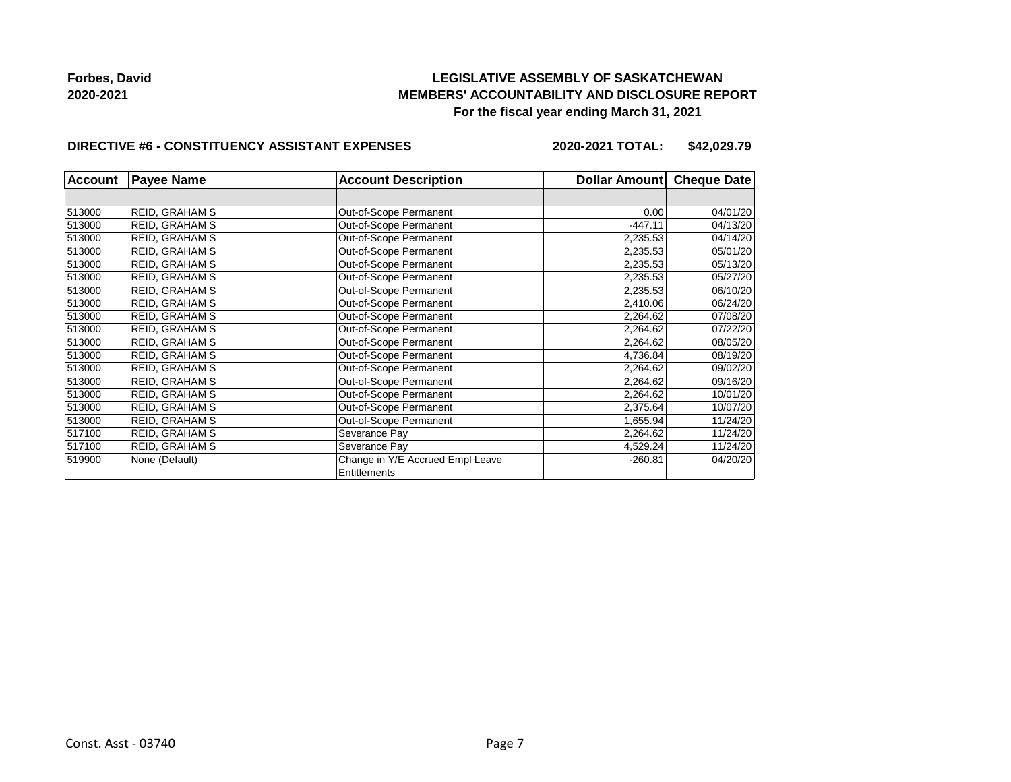## **LEGISLATIVE ASSEMBLY OF SASKATCHEWAN MEMBERS' ACCOUNTABILITY AND DISCLOSURE REPORT For the fiscal year ending March 31, 2021**

#### **DIRECTIVE #6 - CONSTITUENCY ASSISTANT EXPENSES**

**2020-2021 TOTAL: \$42,029.79**

| <b>Account</b> | <b>Payee Name</b>     | <b>Account Description</b>                       | Dollar Amount | <b>Cheque Date</b> |
|----------------|-----------------------|--------------------------------------------------|---------------|--------------------|
|                |                       |                                                  |               |                    |
| 513000         | <b>REID, GRAHAM S</b> | Out-of-Scope Permanent                           | 0.00          | 04/01/20           |
| 513000         | <b>REID, GRAHAM S</b> | Out-of-Scope Permanent                           | $-447.11$     | 04/13/20           |
| 513000         | <b>REID, GRAHAM S</b> | Out-of-Scope Permanent                           | 2,235.53      | 04/14/20           |
| 513000         | <b>REID, GRAHAM S</b> | Out-of-Scope Permanent                           | 2,235.53      | 05/01/20           |
| 513000         | <b>REID, GRAHAM S</b> | Out-of-Scope Permanent                           | 2,235.53      | 05/13/20           |
| 513000         | <b>REID, GRAHAM S</b> | Out-of-Scope Permanent                           | 2,235.53      | 05/27/20           |
| 513000         | <b>REID, GRAHAM S</b> | Out-of-Scope Permanent                           | 2,235.53      | 06/10/20           |
| 513000         | <b>REID, GRAHAM S</b> | Out-of-Scope Permanent                           | 2,410.06      | 06/24/20           |
| 513000         | <b>REID, GRAHAM S</b> | Out-of-Scope Permanent                           | 2,264.62      | 07/08/20           |
| 513000         | <b>REID, GRAHAM S</b> | Out-of-Scope Permanent                           | 2,264.62      | 07/22/20           |
| 513000         | <b>REID, GRAHAM S</b> | Out-of-Scope Permanent                           | 2,264.62      | 08/05/20           |
| 513000         | <b>REID, GRAHAM S</b> | Out-of-Scope Permanent                           | 4,736.84      | 08/19/20           |
| 513000         | <b>REID, GRAHAM S</b> | Out-of-Scope Permanent                           | 2,264.62      | 09/02/20           |
| 513000         | <b>REID, GRAHAM S</b> | Out-of-Scope Permanent                           | 2,264.62      | 09/16/20           |
| 513000         | <b>REID, GRAHAM S</b> | Out-of-Scope Permanent                           | 2,264.62      | 10/01/20           |
| 513000         | <b>REID, GRAHAM S</b> | Out-of-Scope Permanent                           | 2,375.64      | 10/07/20           |
| 513000         | <b>REID, GRAHAM S</b> | Out-of-Scope Permanent                           | 1,655.94      | 11/24/20           |
| 517100         | <b>REID, GRAHAM S</b> | Severance Pay                                    | 2,264.62      | 11/24/20           |
| 517100         | <b>REID, GRAHAM S</b> | Severance Pay                                    | 4,529.24      | 11/24/20           |
| 519900         | None (Default)        | Change in Y/E Accrued Empl Leave<br>Entitlements | $-260.81$     | 04/20/20           |